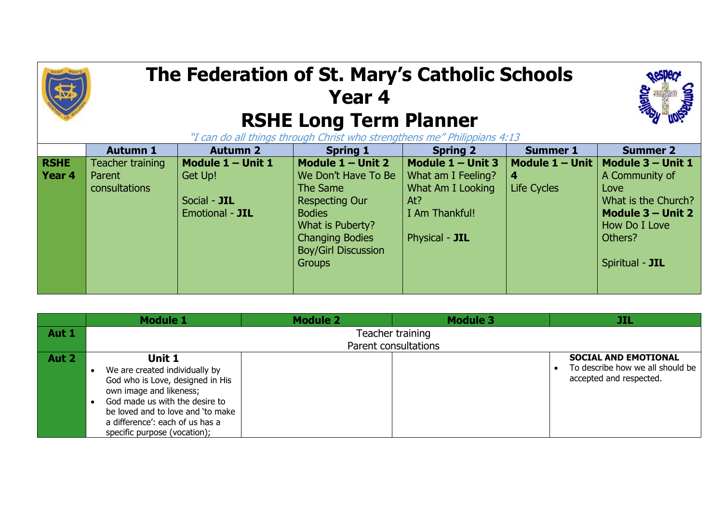## **The Federation of St. Mary's Catholic Schools Year 4 RSHE Long Term Planner**



"I can do all things through Christ who strengthens me" Philippians 4:13

|             | <b>Autumn 1</b>  | <b>Autumn 2</b>   | <b>Spring 1</b>            | <b>Spring 2</b>     | <b>Summer 1</b>           | <b>Summer 2</b>     |
|-------------|------------------|-------------------|----------------------------|---------------------|---------------------------|---------------------|
| <b>RSHE</b> | Teacher training | Module 1 - Unit 1 | Module $1 -$ Unit 2        | Module $1 -$ Unit 3 | Module $1 -$ Unit $\vert$ | Module 3 - Unit 1   |
| Year 4      | Parent           | Get Up!           | We Don't Have To Be        | What am I Feeling?  | -4                        | A Community of      |
|             | consultations    |                   | The Same                   | What Am I Looking   | <b>Life Cycles</b>        | Love                |
|             |                  | Social - JIL      | <b>Respecting Our</b>      | At?                 |                           | What is the Church? |
|             |                  | Emotional - JIL   | <b>Bodies</b>              | I Am Thankful!      |                           | Module 3 - Unit 2   |
|             |                  |                   | What is Puberty?           |                     |                           | How Do I Love       |
|             |                  |                   | <b>Changing Bodies</b>     | Physical - JIL      |                           | Others?             |
|             |                  |                   | <b>Boy/Girl Discussion</b> |                     |                           |                     |
|             |                  |                   | <b>Groups</b>              |                     |                           | Spiritual - JIL     |
|             |                  |                   |                            |                     |                           |                     |
|             |                  |                   |                            |                     |                           |                     |

|       | <b>Module 1</b>                   | <b>Module 2</b> | <b>Module 3</b>  | JIL                              |  |
|-------|-----------------------------------|-----------------|------------------|----------------------------------|--|
| Aut 1 |                                   |                 | Teacher training |                                  |  |
|       | Parent consultations              |                 |                  |                                  |  |
| Aut 2 | Unit 1                            |                 |                  | <b>SOCIAL AND EMOTIONAL</b>      |  |
|       | We are created individually by    |                 |                  | To describe how we all should be |  |
|       | God who is Love, designed in His  |                 |                  | accepted and respected.          |  |
|       | own image and likeness;           |                 |                  |                                  |  |
|       | God made us with the desire to    |                 |                  |                                  |  |
|       | be loved and to love and 'to make |                 |                  |                                  |  |
|       | a difference': each of us has a   |                 |                  |                                  |  |
|       | specific purpose (vocation);      |                 |                  |                                  |  |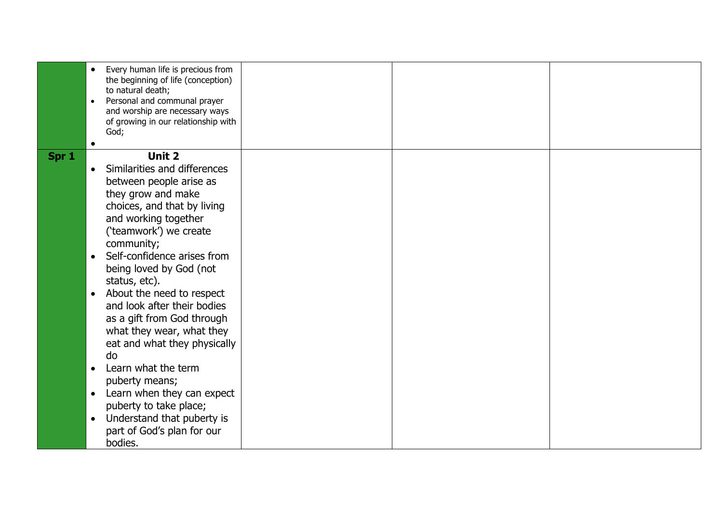|       | Every human life is precious from<br>$\bullet$<br>the beginning of life (conception)<br>to natural death;<br>Personal and communal prayer<br>$\bullet$<br>and worship are necessary ways<br>of growing in our relationship with<br>God;                                                                                                                                                                                                                                                                                                                                                                                                                                                     |  |  |
|-------|---------------------------------------------------------------------------------------------------------------------------------------------------------------------------------------------------------------------------------------------------------------------------------------------------------------------------------------------------------------------------------------------------------------------------------------------------------------------------------------------------------------------------------------------------------------------------------------------------------------------------------------------------------------------------------------------|--|--|
| Spr 1 | <b>Unit 2</b><br>Similarities and differences<br>$\bullet$<br>between people arise as<br>they grow and make<br>choices, and that by living<br>and working together<br>('teamwork') we create<br>community;<br>Self-confidence arises from<br>$\bullet$<br>being loved by God (not<br>status, etc).<br>About the need to respect<br>$\bullet$<br>and look after their bodies<br>as a gift from God through<br>what they wear, what they<br>eat and what they physically<br>do<br>Learn what the term<br>$\bullet$<br>puberty means;<br>Learn when they can expect<br>$\bullet$<br>puberty to take place;<br>Understand that puberty is<br>$\bullet$<br>part of God's plan for our<br>bodies. |  |  |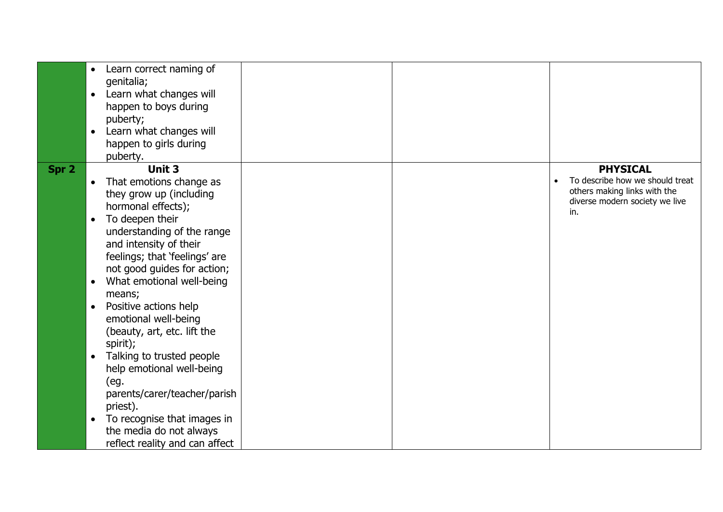|       | Learn correct naming of<br>$\bullet$<br>genitalia;<br>Learn what changes will<br>$\bullet$<br>happen to boys during<br>puberty;<br>Learn what changes will<br>$\bullet$<br>happen to girls during<br>puberty.                                                                                                                                                                                                                                                                                                                                                                                                                               |  |                                                                                                                             |
|-------|---------------------------------------------------------------------------------------------------------------------------------------------------------------------------------------------------------------------------------------------------------------------------------------------------------------------------------------------------------------------------------------------------------------------------------------------------------------------------------------------------------------------------------------------------------------------------------------------------------------------------------------------|--|-----------------------------------------------------------------------------------------------------------------------------|
| Spr 2 | Unit 3<br>That emotions change as<br>they grow up (including<br>hormonal effects);<br>To deepen their<br>$\bullet$<br>understanding of the range<br>and intensity of their<br>feelings; that 'feelings' are<br>not good guides for action;<br>What emotional well-being<br>$\bullet$<br>means;<br>Positive actions help<br>$\bullet$<br>emotional well-being<br>(beauty, art, etc. lift the<br>spirit);<br>Talking to trusted people<br>$\bullet$<br>help emotional well-being<br>(eg.<br>parents/carer/teacher/parish<br>priest).<br>To recognise that images in<br>$\bullet$<br>the media do not always<br>reflect reality and can affect |  | <b>PHYSICAL</b><br>To describe how we should treat<br>others making links with the<br>diverse modern society we live<br>in. |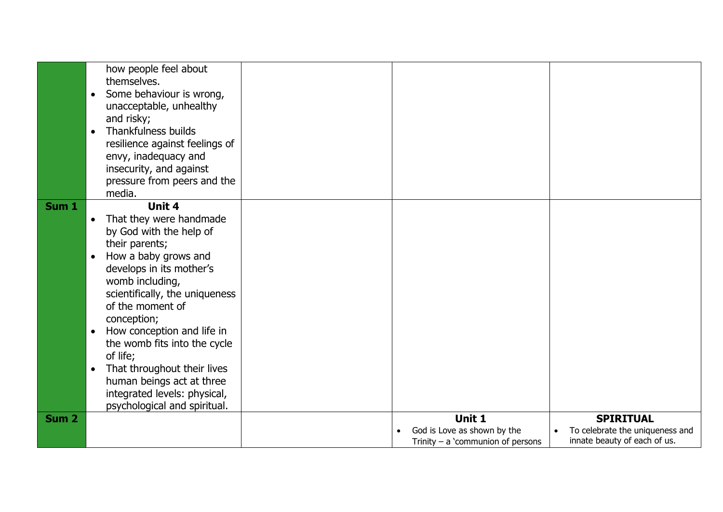|                  | how people feel about<br>themselves.<br>Some behaviour is wrong,<br>$\bullet$<br>unacceptable, unhealthy<br>and risky;<br>Thankfulness builds<br>$\bullet$<br>resilience against feelings of<br>envy, inadequacy and<br>insecurity, and against<br>pressure from peers and the<br>media.                                                                                                                                                                                             |                                                                              |                                                                                     |
|------------------|--------------------------------------------------------------------------------------------------------------------------------------------------------------------------------------------------------------------------------------------------------------------------------------------------------------------------------------------------------------------------------------------------------------------------------------------------------------------------------------|------------------------------------------------------------------------------|-------------------------------------------------------------------------------------|
| Sum <sub>1</sub> | Unit 4<br>That they were handmade<br>$\bullet$<br>by God with the help of<br>their parents;<br>How a baby grows and<br>$\bullet$<br>develops in its mother's<br>womb including,<br>scientifically, the uniqueness<br>of the moment of<br>conception;<br>How conception and life in<br>$\bullet$<br>the womb fits into the cycle<br>of life;<br>That throughout their lives<br>$\bullet$<br>human beings act at three<br>integrated levels: physical,<br>psychological and spiritual. |                                                                              |                                                                                     |
| Sum <sub>2</sub> |                                                                                                                                                                                                                                                                                                                                                                                                                                                                                      | Unit 1<br>God is Love as shown by the<br>Trinity $-$ a 'communion of persons | <b>SPIRITUAL</b><br>To celebrate the uniqueness and<br>innate beauty of each of us. |